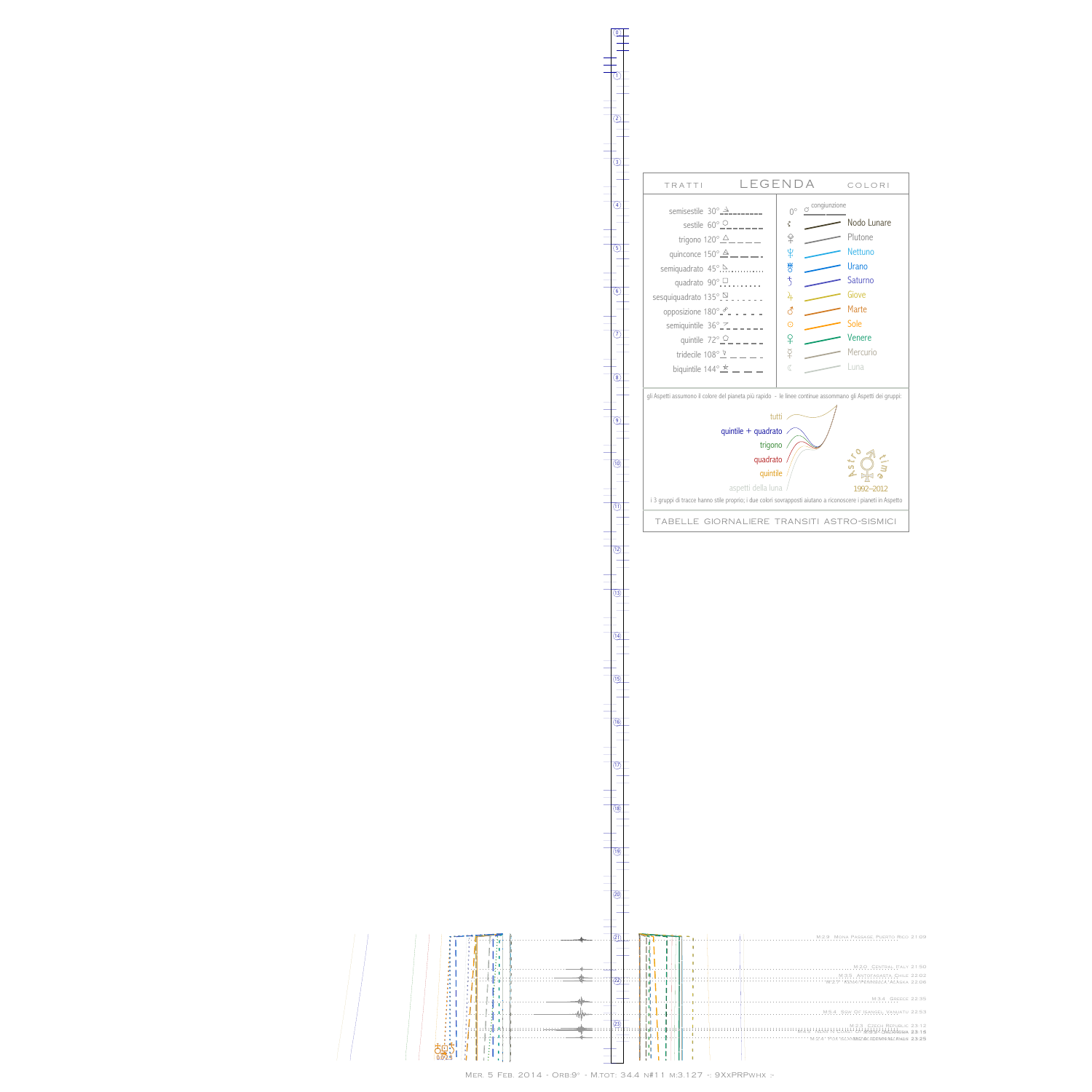it  $\mathbf{0}$